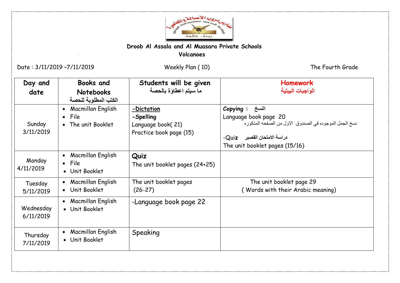

## **Droob Al Assala and Al Muasara Private Schools Volcanoes**

Date : 3/11/2019 –7/11/2019 Weekly Plan ( 10) The Fourth Grade

Ï

| Day and<br>date        | <b>Books and</b><br><b>Notebooks</b><br>الكتب المطلوبة للحصة              | Students will be given<br>ما سيتم اعطاؤة بالحصة                         | <b>Homework</b><br>الواجبات البيتية                                                                                                                                   |
|------------------------|---------------------------------------------------------------------------|-------------------------------------------------------------------------|-----------------------------------------------------------------------------------------------------------------------------------------------------------------------|
| Sunday<br>3/11/2019    | Macmillan English<br>$\bullet$<br>File<br>$\bullet$<br>• The unit Booklet | -Dictation<br>-Spelling<br>Language book(21)<br>Practice book page (15) | Copying : النسخ<br>Language book page 20<br>نسخ الجمل الموجوده في الصندوق الاول من الصفحه المذكوره<br>دراسة الامتحان القصير _ Quiz-<br>The unit booklet pages (15/16) |
| Monday<br>4/11/2019    | Macmillan English<br>$\bullet$<br>• File<br>• Unit Booklet                | Quiz<br>The unit booklet pages (24+25)                                  |                                                                                                                                                                       |
| Tuesday<br>5/11/2019   | Macmillan English<br>$\bullet$<br>• Unit Booklet                          | The unit booklet pages<br>$(26-27)$                                     | The unit booklet page 29<br>(Words with their Arabic meaning)                                                                                                         |
| Wednesday<br>6/11/2019 | Macmillan English<br>$\bullet$<br>• Unit Booklet                          | -Language book page 22                                                  |                                                                                                                                                                       |
| Thursday<br>7/11/2019  | Macmillan English<br>$\bullet$<br>• Unit Booklet                          | Speaking                                                                |                                                                                                                                                                       |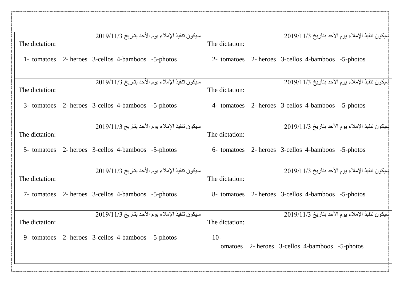| The dictation: | سيكون تنفيذ الإملاء يوم الأحد بتاريخ 2019/11/3     | The dictation:          | البيكون تنفيذ الإملاء يوم الأحد بتاريخ 2019/11/3   |  |
|----------------|----------------------------------------------------|-------------------------|----------------------------------------------------|--|
|                | 1- tomatoes 2- heroes 3-cellos 4-bamboos -5-photos |                         | 2- tomatoes 2- heroes 3-cellos 4-bamboos -5-photos |  |
| The dictation: | سيكون تنفيذ الإملاء يوم الأحد بتاريخ 2019/11/3     | The dictation:          | البيكون تنفيذ الإملاء يوم الأحد بتاريخ 2019/11/3   |  |
|                | 3- tomatoes 2- heroes 3-cellos 4-bamboos -5-photos |                         | 4- tomatoes 2- heroes 3-cellos 4-bamboos -5-photos |  |
| The dictation: | سيكون تنفيذ الإملاء يوم الأحد بتاريخ 2019/11/3     | The dictation:          | سيكون تنفيذ الإملاء يوم الأحد بتاريخ 2019/11/3     |  |
|                | 5- tomatoes 2- heroes 3-cellos 4-bamboos -5-photos |                         | 6- tomatoes 2- heroes 3-cellos 4-bamboos -5-photos |  |
|                | سيكون تنفيذ الإملاء يوم الأحد بتاريخ 2019/11/3     |                         | سيكون تنفيذ الإملاء يوم الأحد بتاريخ 2019/11/3     |  |
| The dictation: | 7- tomatoes 2- heroes 3-cellos 4-bamboos -5-photos | The dictation:          | 8- tomatoes 2- heroes 3-cellos 4-bamboos -5-photos |  |
|                | سيكون تنفيذ الإملاء يوم الأحد بتاريخ 2019/11/3     |                         | سيكون تنفيذ الإملاء يوم الأحد بتاريخ 2019/11/3     |  |
| The dictation: |                                                    | The dictation:<br>$10-$ |                                                    |  |
|                | 9- tomatoes 2- heroes 3-cellos 4-bamboos -5-photos |                         | omatoes 2- heroes 3-cellos 4-bamboos -5-photos     |  |